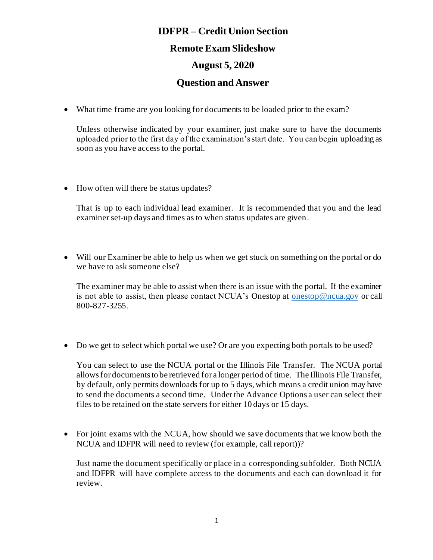## **IDFPR – Credit Union Section Remote Exam Slideshow August 5, 2020**

## **Question and Answer**

• What time frame are you looking for documents to be loaded prior to the exam?

Unless otherwise indicated by your examiner, just make sure to have the documents uploaded prior to the first day of the examination's start date. You can begin uploading as soon as you have access to the portal.

• How often will there be status updates?

That is up to each individual lead examiner. It is recommended that you and the lead examiner set-up days and times as to when status updates are given.

• Will our Examiner be able to help us when we get stuck on something on the portal or do we have to ask someone else?

The examiner may be able to assist when there is an issue with the portal. If the examiner is not able to assist, then please contact NCUA's Onestop at [onestop@ncua.gov](mailto:onestop@ncua.gov) or call 800-827-3255.

• Do we get to select which portal we use? Or are you expecting both portals to be used?

You can select to use the NCUA portal or the Illinois File Transfer. The NCUA portal allows for documents to be retrieved for a longer period of time. The Illinois File Transfer, by default, only permits downloads for up to 5 days, which means a credit union may have to send the documents a second time. Under the Advance Options a user can select their files to be retained on the state servers for either 10 days or 15 days.

• For joint exams with the NCUA, how should we save documents that we know both the NCUA and IDFPR will need to review (for example, call report))?

Just name the document specifically or place in a corresponding subfolder. Both NCUA and IDFPR will have complete access to the documents and each can download it for review.